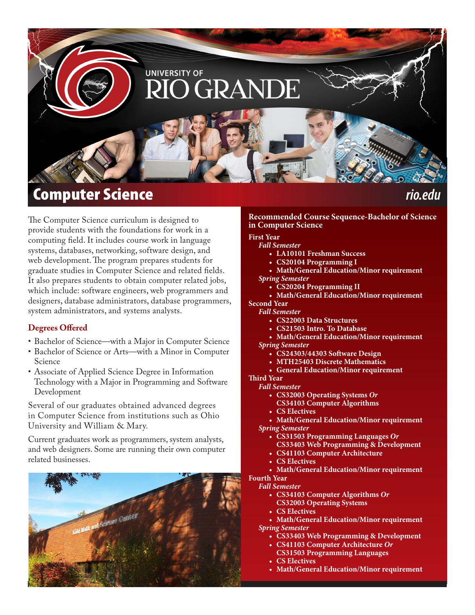

The Computer Science curriculum is designed to provide students with the foundations for work in a computing field. It includes course work in language systems, databases, networking, software design, and web development. The program prepares students for graduate studies in Computer Science and related fields. It also prepares students to obtain computer related jobs, which include: software engineers, web programmers and designers, database administrators, database programmers, system administrators, and systems analysts.

### **Degrees Offered**

- Bachelor of Science—with a Major in Computer Science
- Bachelor of Science or Arts—with a Minor in Computer Science
- Associate of Applied Science Degree in Information Technology with a Major in Programming and Software Development

Several of our graduates obtained advanced degrees in Computer Science from institutions such as Ohio University and William & Mary.

Current graduates work as programmers, system analysts, and web designers. Some are running their own computer related businesses.



#### **Recommended Course Sequence-Bachelor of Science in Computer Science**

#### **First Year**

- *Fall Semester*
	- **• LA10101 Freshman Success**
	- **• CS20104 Programming I**
	- **• Math/General Education/Minor requirement**
- *Spring Semester*
	- **• CS20204 Programming II**
- **• Math/General Education/Minor requirement Second Year**
- *Fall Semester*
	- **• CS22003 Data Structures**
	- **• CS21503 Intro. To Database**
	- **• Math/General Education/Minor requirement** *Spring Semester*
		- **• CS24303/44303 Software Design**
		- **• MTH25403 Discrete Mathematics**
		- **• General Education/Minor requirement**

#### **Third Year**

- *Fall Semester*
	- **• CS32003 Operating Systems** *Or*
	- **CS34103 Computer Algorithms**
	- **• CS Electives**
- **• Math/General Education/Minor requirement** *Spring Semester*
	- **• CS31503 Programming Languages** *Or*
	- **CS33403 Web Programming & Development**
	- **• CS41103 Computer Architecture**
	- **• CS Electives**
- **• Math/General Education/Minor requirement Fourth Year**

*Fall Semester*

- **• CS34103 Computer Algorithms** *Or* **CS32003 Operating Systems**
- **• CS Electives**
- **• Math/General Education/Minor requirement** *Spring Semester*
	- **• CS33403 Web Programming & Development**
	- **• CS41103 Computer Architecture** *Or*
		- **CS31503 Programming Languages**
	- **• CS Electives**
	- **• Math/General Education/Minor requirement**